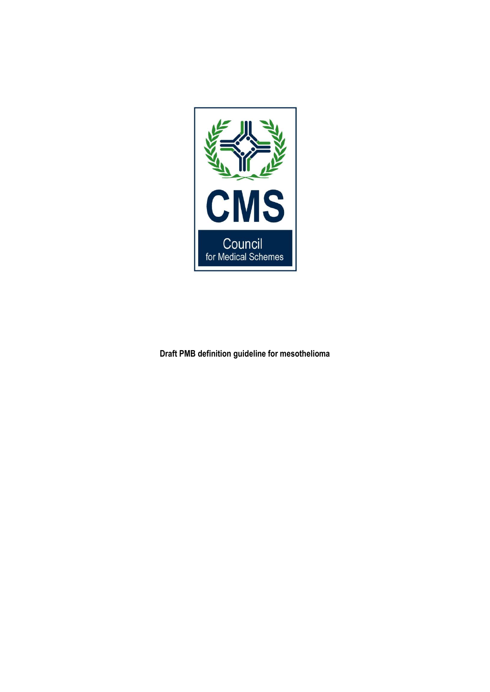

**Draft PMB definition guideline for mesothelioma**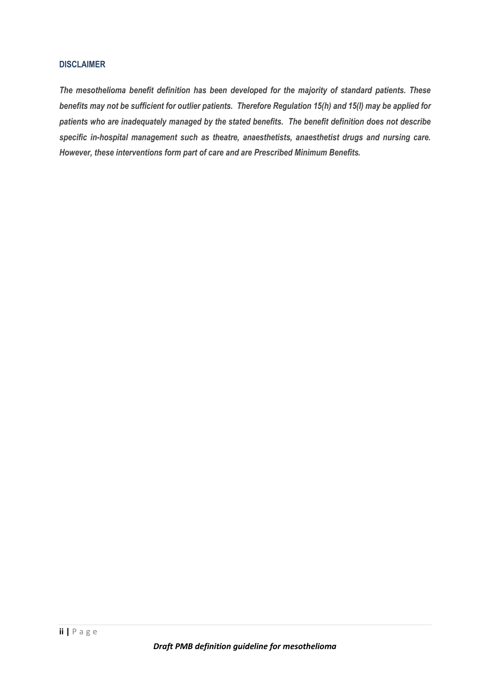#### <span id="page-1-0"></span>**DISCLAIMER**

*The mesothelioma benefit definition has been developed for the majority of standard patients. These benefits may not be sufficient for outlier patients. Therefore Regulation 15(h) and 15(I) may be applied for patients who are inadequately managed by the stated benefits. The benefit definition does not describe specific in-hospital management such as theatre, anaesthetists, anaesthetist drugs and nursing care. However, these interventions form part of care and are Prescribed Minimum Benefits.*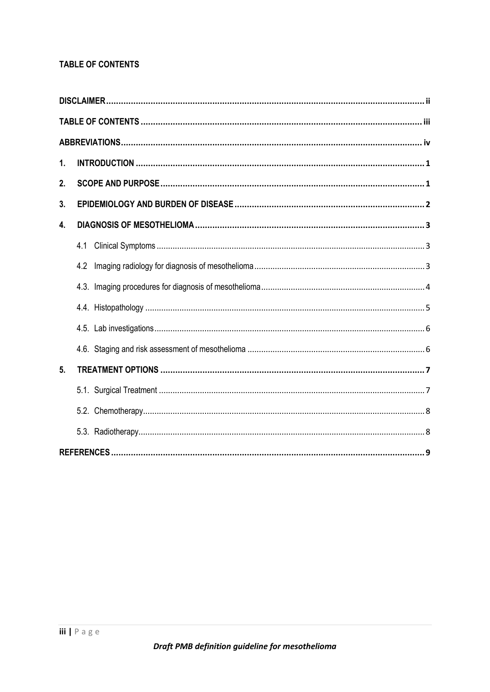# <span id="page-2-0"></span>**TABLE OF CONTENTS**

| 1. |     |
|----|-----|
| 2. |     |
| 3. |     |
| 4. |     |
|    | 4.1 |
|    | 4.2 |
|    |     |
|    |     |
|    |     |
|    |     |
| 5. |     |
|    |     |
|    |     |
|    |     |
|    |     |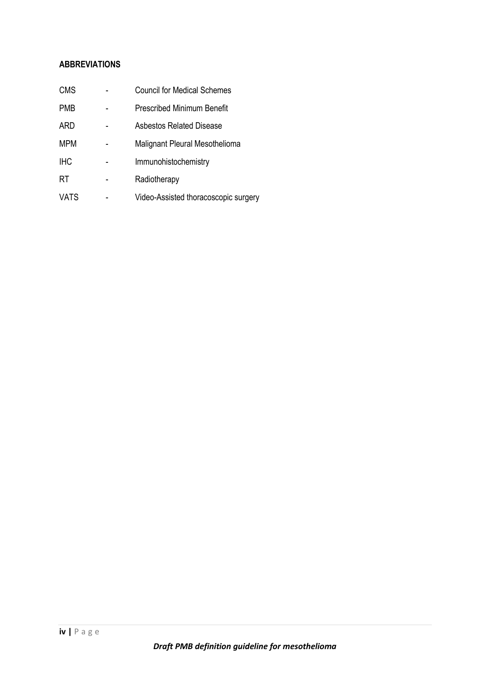## <span id="page-3-0"></span>**ABBREVIATIONS**

| <b>CMS</b>  | <b>Council for Medical Schemes</b>   |
|-------------|--------------------------------------|
| <b>PMB</b>  | <b>Prescribed Minimum Benefit</b>    |
| <b>ARD</b>  | Asbestos Related Disease             |
| <b>MPM</b>  | Malignant Pleural Mesothelioma       |
| <b>IHC</b>  | Immunohistochemistry                 |
| RT          | Radiotherapy                         |
| <b>VATS</b> | Video-Assisted thoracoscopic surgery |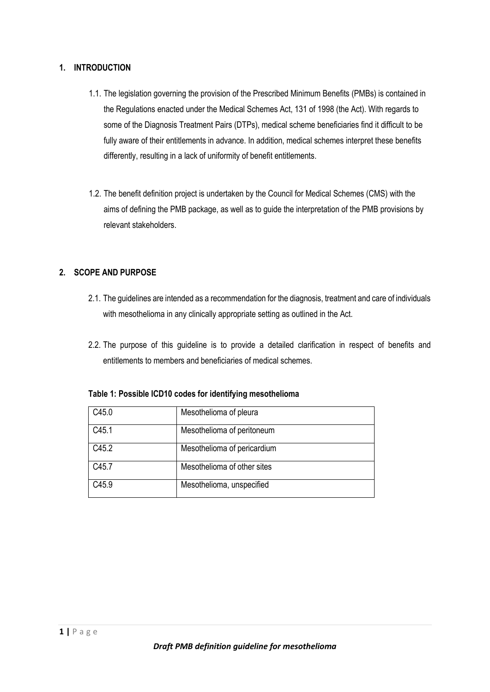## <span id="page-4-0"></span>**1. INTRODUCTION**

- 1.1. The legislation governing the provision of the Prescribed Minimum Benefits (PMBs) is contained in the Regulations enacted under the Medical Schemes Act, 131 of 1998 (the Act). With regards to some of the Diagnosis Treatment Pairs (DTPs), medical scheme beneficiaries find it difficult to be fully aware of their entitlements in advance. In addition, medical schemes interpret these benefits differently, resulting in a lack of uniformity of benefit entitlements.
- 1.2. The benefit definition project is undertaken by the Council for Medical Schemes (CMS) with the aims of defining the PMB package, as well as to guide the interpretation of the PMB provisions by relevant stakeholders.

# <span id="page-4-1"></span>**2. SCOPE AND PURPOSE**

- 2.1. The guidelines are intended as a recommendation for the diagnosis, treatment and care of individuals with mesothelioma in any clinically appropriate setting as outlined in the Act.
- 2.2. The purpose of this guideline is to provide a detailed clarification in respect of benefits and entitlements to members and beneficiaries of medical schemes.

| C <sub>45.0</sub> | Mesothelioma of pleura      |
|-------------------|-----------------------------|
| C <sub>45.1</sub> | Mesothelioma of peritoneum  |
| C45.2             | Mesothelioma of pericardium |
| C45.7             | Mesothelioma of other sites |
| C <sub>45.9</sub> | Mesothelioma, unspecified   |

## **Table 1: Possible ICD10 codes for identifying mesothelioma**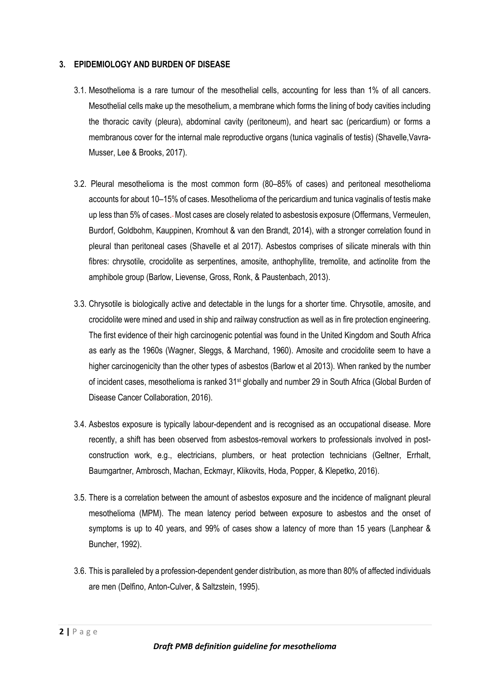#### <span id="page-5-0"></span>**3. EPIDEMIOLOGY AND BURDEN OF DISEASE**

- 3.1. Mesothelioma is a rare tumour of the mesothelial cells, accounting for less than 1% of all cancers. Mesothelial cells make up the mesothelium, a membrane which forms the lining of body cavities including the thoracic cavity (pleura), abdominal cavity (peritoneum), and heart sac (pericardium) or forms a membranous cover for the internal male reproductive organs (tunica vaginalis of testis) (Shavelle,Vavra-Musser, Lee & Brooks, 2017).
- 3.2. Pleural mesothelioma is the most common form (80–85% of cases) and peritoneal mesothelioma accounts for about 10–15% of cases. Mesothelioma of the pericardium and tunica vaginalis of testis make up less than 5% of cases. Most cases are closely related to asbestosis exposure (Offermans, Vermeulen, Burdorf, Goldbohm, Kauppinen, Kromhout & van den Brandt, 2014), with a stronger correlation found in pleural than peritoneal cases (Shavelle et al 2017). Asbestos comprises of silicate minerals with thin fibres: chrysotile, crocidolite as serpentines, amosite, anthophyllite, tremolite, and actinolite from the amphibole group (Barlow, Lievense, Gross, Ronk, & Paustenbach, 2013).
- 3.3. Chrysotile is biologically active and detectable in the lungs for a shorter time. Chrysotile, amosite, and crocidolite were mined and used in ship and railway construction as well as in fire protection engineering. The first evidence of their high carcinogenic potential was found in the United Kingdom and South Africa as early as the 1960s (Wagner, Sleggs, & Marchand, 1960). Amosite and crocidolite seem to have a higher carcinogenicity than the other types of asbestos (Barlow et al 2013). When ranked by the number of incident cases, mesothelioma is ranked 31<sup>st</sup> globally and number 29 in South Africa (Global Burden of Disease Cancer Collaboration, 2016).
- 3.4. Asbestos exposure is typically labour-dependent and is recognised as an occupational disease. More recently, a shift has been observed from asbestos-removal workers to professionals involved in postconstruction work, e.g., electricians, plumbers, or heat protection technicians (Geltner, Errhalt, Baumgartner, Ambrosch, Machan, Eckmayr, Klikovits, Hoda, Popper, & Klepetko, 2016).
- 3.5. There is a correlation between the amount of asbestos exposure and the incidence of malignant pleural mesothelioma (MPM). The mean latency period between exposure to asbestos and the onset of symptoms is up to 40 years, and 99% of cases show a latency of more than 15 years (Lanphear & Buncher, 1992).
- 3.6. This is paralleled by a profession-dependent gender distribution, as more than 80% of affected individuals are men (Delfino, Anton-Culver, & Saltzstein, 1995).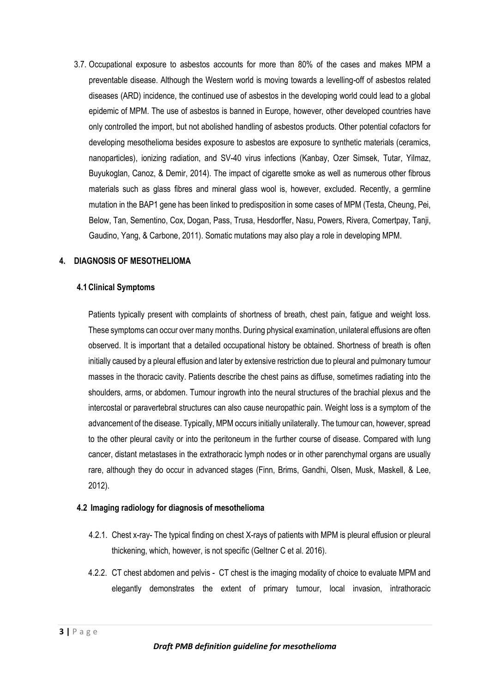3.7. Occupational exposure to asbestos accounts for more than 80% of the cases and makes MPM a preventable disease. Although the Western world is moving towards a levelling-off of asbestos related diseases (ARD) incidence, the continued use of asbestos in the developing world could lead to a global epidemic of MPM. The use of asbestos is banned in Europe, however, other developed countries have only controlled the import, but not abolished handling of asbestos products. Other potential cofactors for developing mesothelioma besides exposure to asbestos are exposure to synthetic materials (ceramics, nanoparticles), ionizing radiation, and SV-40 virus infections (Kanbay, Ozer Simsek, Tutar, Yilmaz, Buyukoglan, Canoz, & Demir, 2014). The impact of cigarette smoke as well as numerous other fibrous materials such as glass fibres and mineral glass wool is, however, excluded. Recently, a germline mutation in the BAP1 gene has been linked to predisposition in some cases of MPM (Testa, Cheung, Pei, Below, Tan, Sementino, Cox, Dogan, Pass, Trusa, Hesdorffer, Nasu, Powers, Rivera, Comertpay, Tanji, Gaudino, Yang, & Carbone, 2011). Somatic mutations may also play a role in developing MPM.

#### <span id="page-6-0"></span>**4. DIAGNOSIS OF MESOTHELIOMA**

#### <span id="page-6-1"></span>**4.1Clinical Symptoms**

Patients typically present with complaints of shortness of breath, chest pain, fatigue and weight loss. These symptoms can occur over many months. During physical examination, unilateral effusions are often observed. It is important that a detailed occupational history be obtained. Shortness of breath is often initially caused by a pleural effusion and later by extensive restriction due to pleural and pulmonary tumour masses in the thoracic cavity. Patients describe the chest pains as diffuse, sometimes radiating into the shoulders, arms, or abdomen. Tumour ingrowth into the neural structures of the brachial plexus and the intercostal or paravertebral structures can also cause neuropathic pain. Weight loss is a symptom of the advancement of the disease. Typically, MPM occurs initially unilaterally. The tumour can, however, spread to the other pleural cavity or into the peritoneum in the further course of disease. Compared with lung cancer, distant metastases in the extrathoracic lymph nodes or in other parenchymal organs are usually rare, although they do occur in advanced stages (Finn, Brims, Gandhi, Olsen, Musk, Maskell, & Lee, 2012).

#### <span id="page-6-2"></span>**4.2 Imaging radiology for diagnosis of mesothelioma**

- 4.2.1. Chest x-ray- The typical finding on chest X-rays of patients with MPM is pleural effusion or pleural thickening, which, however, is not specific (Geltner C et al. 2016).
- 4.2.2. CT chest abdomen and pelvis CT chest is the imaging modality of choice to evaluate MPM and elegantly demonstrates the extent of primary tumour, local invasion, intrathoracic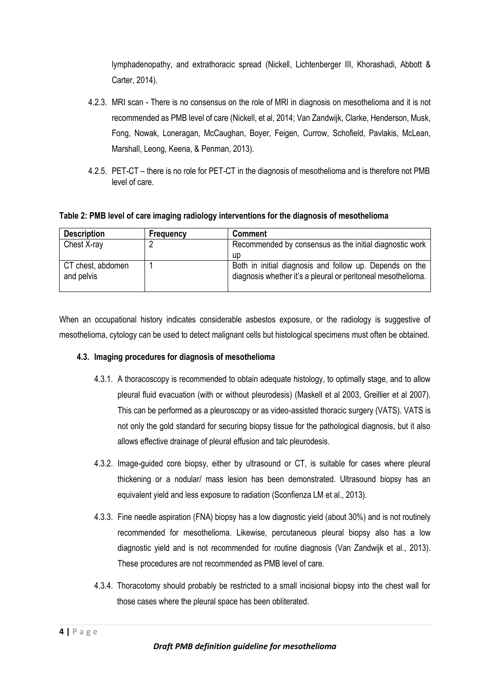lymphadenopathy, and extrathoracic spread (Nickell, Lichtenberger III, Khorashadi, Abbott & Carter, 2014).

- 4.2.3. MRI scan There is no consensus on the role of MRI in diagnosis on mesothelioma and it is not recommended as PMB level of care (Nickell, et al, 2014; Van Zandwijk, Clarke, Henderson, Musk, Fong, Nowak, Loneragan, McCaughan, Boyer, Feigen, Currow, Schofield, Pavlakis, McLean, Marshall, Leong, Keena, & Penman, 2013).
- 4.2.5. PET-CT there is no role for PET-CT in the diagnosis of mesothelioma and is therefore not PMB level of care.

**Table 2: PMB level of care imaging radiology interventions for the diagnosis of mesothelioma**

| <b>Description</b>              | Frequency | <b>Comment</b>                                                                                                          |
|---------------------------------|-----------|-------------------------------------------------------------------------------------------------------------------------|
| Chest X-ray                     | n         | Recommended by consensus as the initial diagnostic work                                                                 |
|                                 |           | up                                                                                                                      |
| CT chest, abdomen<br>and pelvis |           | Both in initial diagnosis and follow up. Depends on the<br>diagnosis whether it's a pleural or peritoneal mesothelioma. |

When an occupational history indicates considerable asbestos exposure, or the radiology is suggestive of mesothelioma, cytology can be used to detect malignant cells but histological specimens must often be obtained.

## **4.3. Imaging procedures for diagnosis of mesothelioma**

- 4.3.1. A thoracoscopy is recommended to obtain adequate histology, to optimally stage, and to allow pleural fluid evacuation (with or without pleurodesis) (Maskell et al 2003, Greillier et al 2007). This can be performed as a pleuroscopy or as video-assisted thoracic surgery (VATS). VATS is not only the gold standard for securing biopsy tissue for the pathological diagnosis, but it also allows effective drainage of pleural effusion and talc pleurodesis.
- 4.3.2. Image-guided core biopsy, either by ultrasound or CT, is suitable for cases where pleural thickening or a nodular/ mass lesion has been demonstrated. Ultrasound biopsy has an equivalent yield and less exposure to radiation (Sconfienza LM et al., 2013).
- 4.3.3. Fine needle aspiration (FNA) biopsy has a low diagnostic yield (about 30%) and is not routinely recommended for mesothelioma. Likewise, percutaneous pleural biopsy also has a low diagnostic yield and is not recommended for routine diagnosis (Van Zandwijk et al., 2013). These procedures are not recommended as PMB level of care.
- 4.3.4. Thoracotomy should probably be restricted to a small incisional biopsy into the chest wall for those cases where the pleural space has been obliterated.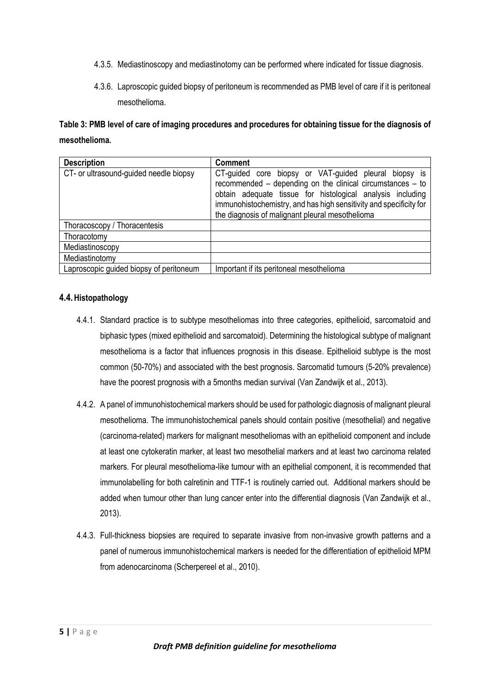- 4.3.5. Mediastinoscopy and mediastinotomy can be performed where indicated for tissue diagnosis.
- 4.3.6. Laproscopic guided biopsy of peritoneum is recommended as PMB level of care if it is peritoneal mesothelioma.

**Table 3: PMB level of care of imaging procedures and procedures for obtaining tissue for the diagnosis of mesothelioma.**

| <b>Description</b>                      | <b>Comment</b>                                                                                                                                                                                                                                                                                             |
|-----------------------------------------|------------------------------------------------------------------------------------------------------------------------------------------------------------------------------------------------------------------------------------------------------------------------------------------------------------|
| CT- or ultrasound-guided needle biopsy  | CT-guided core biopsy or VAT-guided pleural biopsy is<br>recommended – depending on the clinical circumstances – to<br>obtain adequate tissue for histological analysis including<br>immunohistochemistry, and has high sensitivity and specificity for<br>the diagnosis of malignant pleural mesothelioma |
| Thoracoscopy / Thoracentesis            |                                                                                                                                                                                                                                                                                                            |
| Thoracotomy                             |                                                                                                                                                                                                                                                                                                            |
| Mediastinoscopy                         |                                                                                                                                                                                                                                                                                                            |
| Mediastinotomy                          |                                                                                                                                                                                                                                                                                                            |
| Laproscopic guided biopsy of peritoneum | Important if its peritoneal mesothelioma                                                                                                                                                                                                                                                                   |

## <span id="page-8-0"></span>**4.4.Histopathology**

- 4.4.1. Standard practice is to subtype mesotheliomas into three categories, epithelioid, sarcomatoid and biphasic types (mixed epithelioid and sarcomatoid). Determining the histological subtype of malignant mesothelioma is a factor that influences prognosis in this disease. Epithelioid subtype is the most common (50-70%) and associated with the best prognosis. Sarcomatid tumours (5-20% prevalence) have the poorest prognosis with a 5months median survival (Van Zandwijk et al., 2013).
- 4.4.2. A panel of immunohistochemical markers should be used for pathologic diagnosis of malignant pleural mesothelioma. The immunohistochemical panels should contain positive (mesothelial) and negative (carcinoma-related) markers for malignant mesotheliomas with an epithelioid component and include at least one cytokeratin marker, at least two mesothelial markers and at least two carcinoma related markers. For pleural mesothelioma-like tumour with an epithelial component, it is recommended that immunolabelling for both calretinin and TTF-1 is routinely carried out. Additional markers should be added when tumour other than lung cancer enter into the differential diagnosis (Van Zandwijk et al., 2013).
- 4.4.3. Full-thickness biopsies are required to separate invasive from non-invasive growth patterns and a panel of numerous immunohistochemical markers is needed for the differentiation of epithelioid MPM from adenocarcinoma (Scherpereel et al., 2010).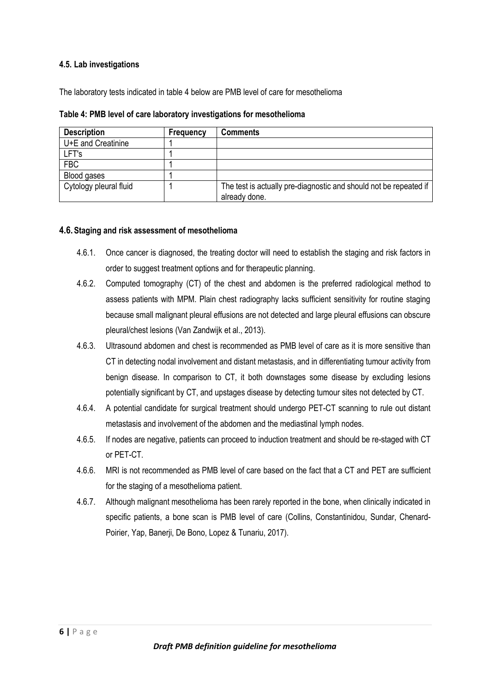#### <span id="page-9-0"></span>**4.5. Lab investigations**

The laboratory tests indicated in table 4 below are PMB level of care for mesothelioma

| <b>Description</b>     | Frequency | <b>Comments</b>                                                                    |
|------------------------|-----------|------------------------------------------------------------------------------------|
| U+E and Creatinine     |           |                                                                                    |
| LFT's                  |           |                                                                                    |
| <b>FBC</b>             |           |                                                                                    |
| Blood gases            |           |                                                                                    |
| Cytology pleural fluid |           | The test is actually pre-diagnostic and should not be repeated if<br>already done. |

**Table 4: PMB level of care laboratory investigations for mesothelioma**

#### <span id="page-9-1"></span>**4.6.Staging and risk assessment of mesothelioma**

- 4.6.1. Once cancer is diagnosed, the treating doctor will need to establish the staging and risk factors in order to suggest treatment options and for therapeutic planning.
- 4.6.2. Computed tomography (CT) of the chest and abdomen is the preferred radiological method to assess patients with MPM. Plain chest radiography lacks sufficient sensitivity for routine staging because small malignant pleural effusions are not detected and large pleural effusions can obscure pleural/chest lesions (Van Zandwijk et al., 2013).
- 4.6.3. Ultrasound abdomen and chest is recommended as PMB level of care as it is more sensitive than CT in detecting nodal involvement and distant metastasis, and in differentiating tumour activity from benign disease. In comparison to CT, it both downstages some disease by excluding lesions potentially significant by CT, and upstages disease by detecting tumour sites not detected by CT.
- 4.6.4. A potential candidate for surgical treatment should undergo PET-CT scanning to rule out distant metastasis and involvement of the abdomen and the mediastinal lymph nodes.
- 4.6.5. If nodes are negative, patients can proceed to induction treatment and should be re-staged with CT or PET-CT.
- 4.6.6. MRI is not recommended as PMB level of care based on the fact that a CT and PET are sufficient for the staging of a mesothelioma patient.
- 4.6.7. Although malignant mesothelioma has been rarely reported in the bone, when clinically indicated in specific patients, a bone scan is PMB level of care (Collins, Constantinidou, Sundar, Chenard-Poirier, Yap, Banerji, De Bono, Lopez & Tunariu, 2017).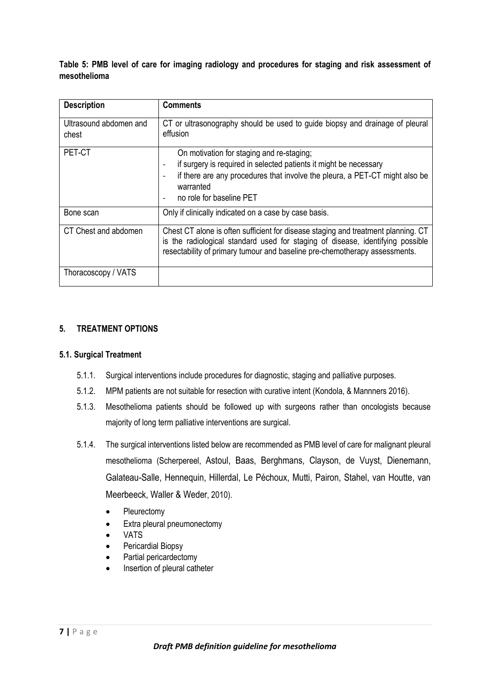**Table 5: PMB level of care for imaging radiology and procedures for staging and risk assessment of mesothelioma**

| <b>Description</b>              | <b>Comments</b>                                                                                                                                                                                                                                   |
|---------------------------------|---------------------------------------------------------------------------------------------------------------------------------------------------------------------------------------------------------------------------------------------------|
| Ultrasound abdomen and<br>chest | CT or ultrasonography should be used to guide biopsy and drainage of pleural<br>effusion                                                                                                                                                          |
| PET-CT                          | On motivation for staging and re-staging;<br>if surgery is required in selected patients it might be necessary<br>if there are any procedures that involve the pleura, a PET-CT might also be<br>warranted<br>no role for baseline PET            |
| Bone scan                       | Only if clinically indicated on a case by case basis.                                                                                                                                                                                             |
| CT Chest and abdomen            | Chest CT alone is often sufficient for disease staging and treatment planning. CT<br>is the radiological standard used for staging of disease, identifying possible<br>resectability of primary tumour and baseline pre-chemotherapy assessments. |
| Thoracoscopy / VATS             |                                                                                                                                                                                                                                                   |

## <span id="page-10-0"></span>**5. TREATMENT OPTIONS**

## <span id="page-10-1"></span>**5.1. Surgical Treatment**

- 5.1.1. Surgical interventions include procedures for diagnostic, staging and palliative purposes.
- 5.1.2. MPM patients are not suitable for resection with curative intent (Kondola, & Mannners 2016).
- 5.1.3. Mesothelioma patients should be followed up with surgeons rather than oncologists because majority of long term palliative interventions are surgical.
- 5.1.4. The surgical interventions listed below are recommended as PMB level of care for malignant pleural mesothelioma (Scherpereel, Astoul, Baas, Berghmans, Clayson, de Vuyst, Dienemann, Galateau-Salle, Hennequin, Hillerdal, Le Péchoux, Mutti, Pairon, Stahel, van Houtte, van Meerbeeck, Waller & Weder, 2010).
	- **Pleurectomy**
	- Extra pleural pneumonectomy
	- VATS
	- Pericardial Biopsy
	- Partial pericardectomy
	- Insertion of pleural catheter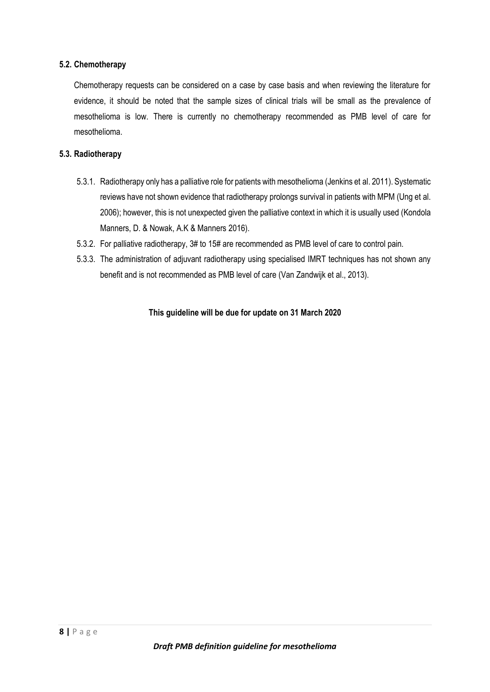#### <span id="page-11-0"></span>**5.2. Chemotherapy**

Chemotherapy requests can be considered on a case by case basis and when reviewing the literature for evidence, it should be noted that the sample sizes of clinical trials will be small as the prevalence of mesothelioma is low. There is currently no chemotherapy recommended as PMB level of care for mesothelioma.

### <span id="page-11-1"></span>**5.3. Radiotherapy**

- 5.3.1. Radiotherapy only has a palliative role for patients with mesothelioma (Jenkins et al. 2011). Systematic reviews have not shown evidence that radiotherapy prolongs survival in patients with MPM (Ung et al. 2006); however, this is not unexpected given the palliative context in which it is usually used (Kondola Manners, D. & Nowak, A.K & Manners 2016).
- 5.3.2. For palliative radiotherapy, 3# to 15# are recommended as PMB level of care to control pain.
- 5.3.3. The administration of adjuvant radiotherapy using specialised IMRT techniques has not shown any benefit and is not recommended as PMB level of care (Van Zandwijk et al., 2013).

#### **This guideline will be due for update on 31 March 2020**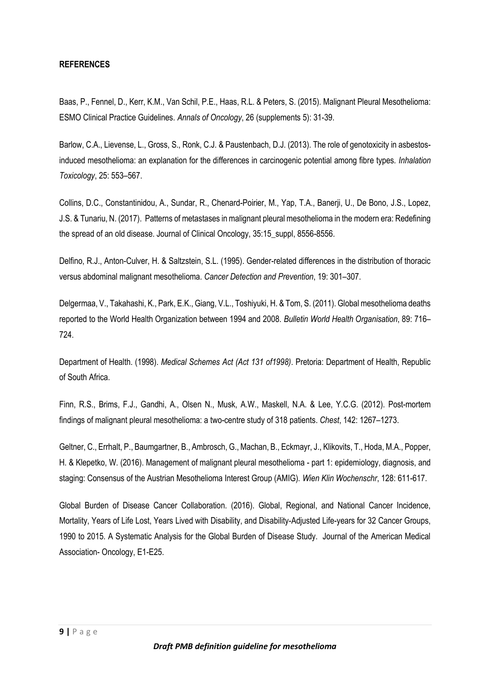#### <span id="page-12-0"></span>**REFERENCES**

Baas, P., Fennel, D., Kerr, K.M., Van Schil, P.E., Haas, R.L. & Peters, S. (2015). Malignant Pleural Mesothelioma: ESMO Clinical Practice Guidelines*. Annals of Oncology*, 26 (supplements 5): 31-39.

Barlow, C.A., Lievense, L., Gross, S., Ronk, C.J. & Paustenbach, D.J. (2013). The role of genotoxicity in asbestosinduced mesothelioma: an explanation for the differences in carcinogenic potential among fibre types*. Inhalation Toxicology*, 25: 553–567.

Collins, D.C., Constantinidou, A., Sundar, R., Chenard-Poirier, M., Yap, T.A., Banerji, U., De Bono, J.S., Lopez, J.S. & Tunariu, N. (2017). Patterns of metastases in malignant pleural mesothelioma in the modern era: Redefining the spread of an old disease. Journal of Clinical Oncology, 35:15\_suppl, 8556-8556.

Delfino, R.J., Anton-Culver, H. & Saltzstein, S.L. (1995). Gender-related differences in the distribution of thoracic versus abdominal malignant mesothelioma. *Cancer Detection and Prevention*, 19: 301–307.

Delgermaa, V., Takahashi, K., Park, E.K., Giang, V.L., Toshiyuki, H. & Tom, S. (2011). Global mesothelioma deaths reported to the World Health Organization between 1994 and 2008*. Bulletin World Health Organisation*, 89: 716– 724.

Department of Health. (1998). *Medical Schemes Act (Act 131 of1998)*. Pretoria: Department of Health, Republic of South Africa.

Finn, R.S., Brims, F.J., Gandhi, A., Olsen N., Musk, A.W., Maskell, N.A. & Lee, Y.C.G. (2012). Post-mortem findings of malignant pleural mesothelioma: a two-centre study of 318 patients. *Chest*, 142: 1267–1273.

Geltner, C., Errhalt, P., Baumgartner, B., Ambrosch, G., Machan, B., Eckmayr, J., Klikovits, T., Hoda, M.A., Popper, H. & Klepetko, W. (2016). Management of malignant pleural mesothelioma - part 1: epidemiology, diagnosis, and staging: Consensus of the Austrian Mesothelioma Interest Group (AMIG). *Wien Klin Wochenschr*, 128: 611-617.

Global Burden of Disease Cancer Collaboration. (2016). Global, Regional, and National Cancer Incidence, Mortality, Years of Life Lost, Years Lived with Disability, and Disability-Adjusted Life-years for 32 Cancer Groups, 1990 to 2015. A Systematic Analysis for the Global Burden of Disease Study. Journal of the American Medical Association- Oncology, E1-E25.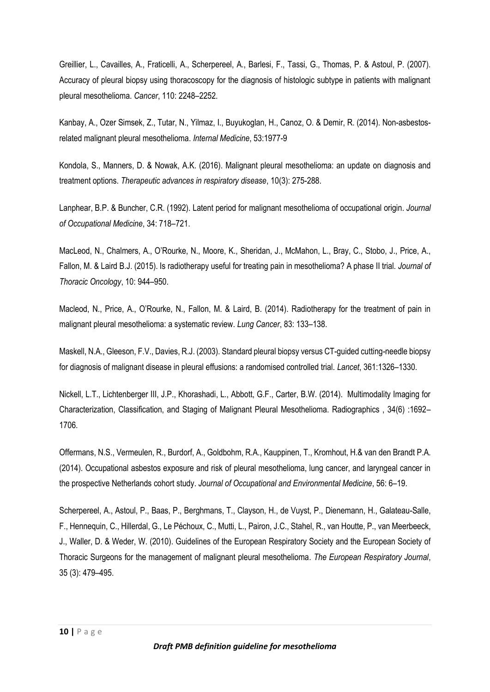Greillier, L., Cavailles, A., Fraticelli, A., Scherpereel, A., Barlesi, F., Tassi, G., Thomas, P. & Astoul, P. (2007). Accuracy of pleural biopsy using thoracoscopy for the diagnosis of histologic subtype in patients with malignant pleural mesothelioma. *Cancer*, 110: 2248–2252.

Kanbay, A., Ozer Simsek, Z., Tutar, N., Yilmaz, I., Buyukoglan, H., Canoz, O. & Demir, R. (2014). Non-asbestosrelated malignant pleural mesothelioma. *Internal Medicine*, 53:1977-9

Kondola, S., Manners, D. & Nowak, A.K. (2016). Malignant pleural mesothelioma: an update on diagnosis and treatment options. *Therapeutic advances in respiratory disease*, 10(3): 275-288.

Lanphear, B.P. & Buncher, C.R. (1992). Latent period for malignant mesothelioma of occupational origin. *Journal of Occupational Medicine*, 34: 718–721.

MacLeod, N., Chalmers, A., O'Rourke, N., Moore, K., Sheridan, J., McMahon, L., Bray, C., Stobo, J., Price, A., Fallon, M. & Laird B.J. (2015). Is radiotherapy useful for treating pain in mesothelioma? A phase II trial*. Journal of Thoracic Oncology*, 10: 944–950.

Macleod, N., Price, A., O'Rourke, N., Fallon, M. & Laird, B. (2014). Radiotherapy for the treatment of pain in malignant pleural mesothelioma: a systematic review. *Lung Cancer*, 83: 133–138.

Maskell, N.A., Gleeson, F.V., Davies, R.J. (2003). Standard pleural biopsy versus CT-guided cutting-needle biopsy for diagnosis of malignant disease in pleural effusions: a randomised controlled trial*. Lancet*, 361:1326–1330.

Nickell, L.T., Lichtenberger III, J.P., Khorashadi, L., Abbott, G.F., Carter, B.W. (2014). Multimodality Imaging for Characterization, Classification, and Staging of Malignant Pleural Mesothelioma. Radiographics , 34(6) :1692– 1706.

Offermans, N.S., Vermeulen, R., Burdorf, A., Goldbohm, R.A., Kauppinen, T., Kromhout, H.& van den Brandt P.A. (2014). Occupational asbestos exposure and risk of pleural mesothelioma, lung cancer, and laryngeal cancer in the prospective Netherlands cohort study. *Journal of Occupational and Environmental Medicine*, 56: 6–19.

Scherpereel, A., Astoul, P., Baas, P., Berghmans, T., Clayson, H., de Vuyst, P., Dienemann, H., Galateau-Salle, F., Hennequin, C., Hillerdal, G., Le Péchoux, C., Mutti, L., Pairon, J.C., Stahel, R., van Houtte, P., van Meerbeeck, J., Waller, D. & Weder, W. (2010). Guidelines of the European Respiratory Society and the European Society of Thoracic Surgeons for the management of malignant pleural mesothelioma. *The European Respiratory Journal*, 35 (3): 479–495.